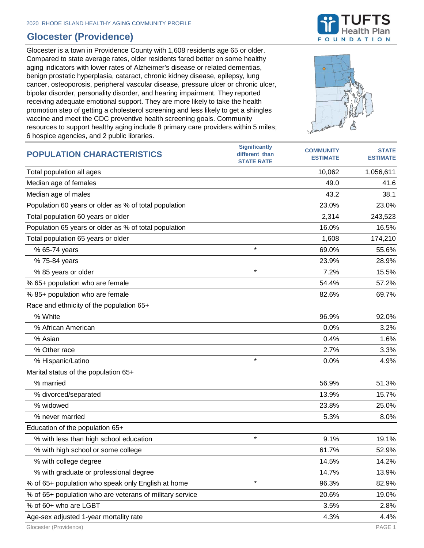## **Glocester (Providence)**

Glocester is a town in Providence County with 1,608 residents age 65 or older. Compared to state average rates, older residents fared better on some healthy aging indicators with lower rates of Alzheimer's disease or related dementias, benign prostatic hyperplasia, cataract, chronic kidney disease, epilepsy, lung cancer, osteoporosis, peripheral vascular disease, pressure ulcer or chronic ulcer, bipolar disorder, personality disorder, and hearing impairment. They reported receiving adequate emotional support. They are more likely to take the health promotion step of getting a cholesterol screening and less likely to get a shingles vaccine and meet the CDC preventive health screening goals. Community resources to support healthy aging include 8 primary care providers within 5 miles; 6 hospice agencies, and 2 public libraries.



| <b>INSPIRE AGOTOICS, and L Public IIDIANCS</b>           |                                                             |                                     |                                 |
|----------------------------------------------------------|-------------------------------------------------------------|-------------------------------------|---------------------------------|
| <b>POPULATION CHARACTERISTICS</b>                        | <b>Significantly</b><br>different than<br><b>STATE RATE</b> | <b>COMMUNITY</b><br><b>ESTIMATE</b> | <b>STATE</b><br><b>ESTIMATE</b> |
| Total population all ages                                |                                                             | 10,062                              | 1,056,611                       |
| Median age of females                                    |                                                             | 49.0                                | 41.6                            |
| Median age of males                                      |                                                             | 43.2                                | 38.1                            |
| Population 60 years or older as % of total population    |                                                             | 23.0%                               | 23.0%                           |
| Total population 60 years or older                       |                                                             | 2,314                               | 243,523                         |
| Population 65 years or older as % of total population    |                                                             | 16.0%                               | 16.5%                           |
| Total population 65 years or older                       |                                                             | 1,608                               | 174,210                         |
| % 65-74 years                                            | $\star$                                                     | 69.0%                               | 55.6%                           |
| % 75-84 years                                            |                                                             | 23.9%                               | 28.9%                           |
| % 85 years or older                                      | $\star$                                                     | 7.2%                                | 15.5%                           |
| % 65+ population who are female                          |                                                             | 54.4%                               | 57.2%                           |
| % 85+ population who are female                          |                                                             | 82.6%                               | 69.7%                           |
| Race and ethnicity of the population 65+                 |                                                             |                                     |                                 |
| % White                                                  |                                                             | 96.9%                               | 92.0%                           |
| % African American                                       |                                                             | 0.0%                                | 3.2%                            |
| % Asian                                                  |                                                             | 0.4%                                | 1.6%                            |
| % Other race                                             |                                                             | 2.7%                                | 3.3%                            |
| % Hispanic/Latino                                        | $\star$                                                     | 0.0%                                | 4.9%                            |
| Marital status of the population 65+                     |                                                             |                                     |                                 |
| % married                                                |                                                             | 56.9%                               | 51.3%                           |
| % divorced/separated                                     |                                                             | 13.9%                               | 15.7%                           |
| % widowed                                                |                                                             | 23.8%                               | 25.0%                           |
| % never married                                          |                                                             | 5.3%                                | 8.0%                            |
| Education of the population 65+                          |                                                             |                                     |                                 |
| % with less than high school education                   | $\star$                                                     | 9.1%                                | 19.1%                           |
| % with high school or some college                       |                                                             | 61.7%                               | 52.9%                           |
| % with college degree                                    |                                                             | 14.5%                               | 14.2%                           |
| % with graduate or professional degree                   |                                                             | 14.7%                               | 13.9%                           |
| % of 65+ population who speak only English at home       | $\star$                                                     | 96.3%                               | 82.9%                           |
| % of 65+ population who are veterans of military service |                                                             | 20.6%                               | 19.0%                           |
| % of 60+ who are LGBT                                    |                                                             | 3.5%                                | 2.8%                            |
| Age-sex adjusted 1-year mortality rate                   |                                                             | 4.3%                                | 4.4%                            |

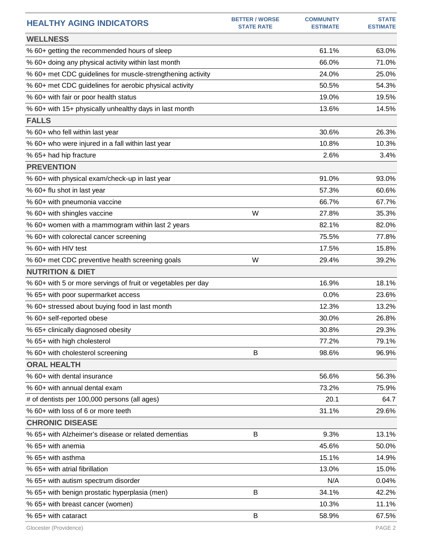| <b>HEALTHY AGING INDICATORS</b>                              | <b>BETTER / WORSE</b><br><b>STATE RATE</b> | <b>COMMUNITY</b><br><b>ESTIMATE</b> | <b>STATE</b><br><b>ESTIMATE</b> |
|--------------------------------------------------------------|--------------------------------------------|-------------------------------------|---------------------------------|
| <b>WELLNESS</b>                                              |                                            |                                     |                                 |
| % 60+ getting the recommended hours of sleep                 |                                            | 61.1%                               | 63.0%                           |
| % 60+ doing any physical activity within last month          |                                            | 66.0%                               | 71.0%                           |
| % 60+ met CDC guidelines for muscle-strengthening activity   |                                            | 24.0%                               | 25.0%                           |
| % 60+ met CDC guidelines for aerobic physical activity       |                                            | 50.5%                               | 54.3%                           |
| % 60+ with fair or poor health status                        |                                            | 19.0%                               | 19.5%                           |
| % 60+ with 15+ physically unhealthy days in last month       |                                            | 13.6%                               | 14.5%                           |
| <b>FALLS</b>                                                 |                                            |                                     |                                 |
| % 60+ who fell within last year                              |                                            | 30.6%                               | 26.3%                           |
| % 60+ who were injured in a fall within last year            |                                            | 10.8%                               | 10.3%                           |
| % 65+ had hip fracture                                       |                                            | 2.6%                                | 3.4%                            |
| <b>PREVENTION</b>                                            |                                            |                                     |                                 |
| % 60+ with physical exam/check-up in last year               |                                            | 91.0%                               | 93.0%                           |
| % 60+ flu shot in last year                                  |                                            | 57.3%                               | 60.6%                           |
| % 60+ with pneumonia vaccine                                 |                                            | 66.7%                               | 67.7%                           |
| % 60+ with shingles vaccine                                  | W                                          | 27.8%                               | 35.3%                           |
| % 60+ women with a mammogram within last 2 years             |                                            | 82.1%                               | 82.0%                           |
| % 60+ with colorectal cancer screening                       |                                            | 75.5%                               | 77.8%                           |
| % 60+ with HIV test                                          |                                            | 17.5%                               | 15.8%                           |
| % 60+ met CDC preventive health screening goals              | W                                          | 29.4%                               | 39.2%                           |
| <b>NUTRITION &amp; DIET</b>                                  |                                            |                                     |                                 |
| % 60+ with 5 or more servings of fruit or vegetables per day |                                            | 16.9%                               | 18.1%                           |
| % 65+ with poor supermarket access                           |                                            | 0.0%                                | 23.6%                           |
| % 60+ stressed about buying food in last month               |                                            | 12.3%                               | 13.2%                           |
| % 60+ self-reported obese                                    |                                            | 30.0%                               | 26.8%                           |
| % 65+ clinically diagnosed obesity                           |                                            | 30.8%                               | 29.3%                           |
| % 65+ with high cholesterol                                  |                                            | 77.2%                               | 79.1%                           |
| % 60+ with cholesterol screening                             | B                                          | 98.6%                               | 96.9%                           |
| <b>ORAL HEALTH</b>                                           |                                            |                                     |                                 |
| % 60+ with dental insurance                                  |                                            | 56.6%                               | 56.3%                           |
| % 60+ with annual dental exam                                |                                            | 73.2%                               | 75.9%                           |
| # of dentists per 100,000 persons (all ages)                 |                                            | 20.1                                | 64.7                            |
| % 60+ with loss of 6 or more teeth                           |                                            | 31.1%                               | 29.6%                           |
| <b>CHRONIC DISEASE</b>                                       |                                            |                                     |                                 |
| % 65+ with Alzheimer's disease or related dementias          | В                                          | 9.3%                                | 13.1%                           |
| % 65+ with anemia                                            |                                            | 45.6%                               | 50.0%                           |
| % 65+ with asthma                                            |                                            | 15.1%                               | 14.9%                           |
| % 65+ with atrial fibrillation                               |                                            | 13.0%                               | 15.0%                           |
| % 65+ with autism spectrum disorder                          |                                            | N/A                                 | 0.04%                           |
| % 65+ with benign prostatic hyperplasia (men)                | B                                          | 34.1%                               | 42.2%                           |
| % 65+ with breast cancer (women)                             |                                            | 10.3%                               | 11.1%                           |
| % 65+ with cataract                                          | B                                          | 58.9%                               | 67.5%                           |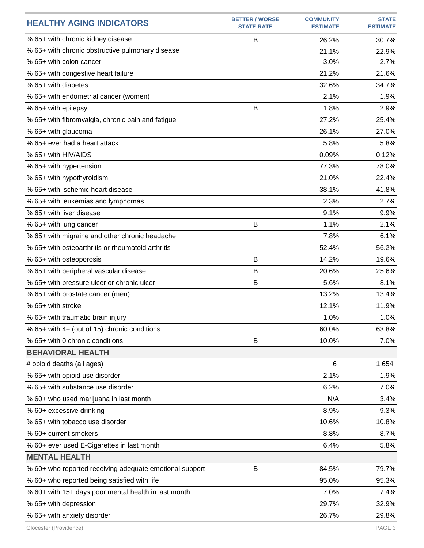| <b>HEALTHY AGING INDICATORS</b>                         | <b>BETTER / WORSE</b><br><b>STATE RATE</b> | <b>COMMUNITY</b><br><b>ESTIMATE</b> | <b>STATE</b><br><b>ESTIMATE</b> |
|---------------------------------------------------------|--------------------------------------------|-------------------------------------|---------------------------------|
| % 65+ with chronic kidney disease                       | B                                          | 26.2%                               | 30.7%                           |
| % 65+ with chronic obstructive pulmonary disease        |                                            | 21.1%                               | 22.9%                           |
| % 65+ with colon cancer                                 |                                            | 3.0%                                | 2.7%                            |
| % 65+ with congestive heart failure                     |                                            | 21.2%                               | 21.6%                           |
| % 65+ with diabetes                                     |                                            | 32.6%                               | 34.7%                           |
| % 65+ with endometrial cancer (women)                   |                                            | 2.1%                                | 1.9%                            |
| % 65+ with epilepsy                                     | B                                          | 1.8%                                | 2.9%                            |
| % 65+ with fibromyalgia, chronic pain and fatigue       |                                            | 27.2%                               | 25.4%                           |
| % 65+ with glaucoma                                     |                                            | 26.1%                               | 27.0%                           |
| % 65+ ever had a heart attack                           |                                            | 5.8%                                | 5.8%                            |
| % 65+ with HIV/AIDS                                     |                                            | 0.09%                               | 0.12%                           |
| % 65+ with hypertension                                 |                                            | 77.3%                               | 78.0%                           |
| % 65+ with hypothyroidism                               |                                            | 21.0%                               | 22.4%                           |
| % 65+ with ischemic heart disease                       |                                            | 38.1%                               | 41.8%                           |
| % 65+ with leukemias and lymphomas                      |                                            | 2.3%                                | 2.7%                            |
| % 65+ with liver disease                                |                                            | 9.1%                                | 9.9%                            |
| % 65+ with lung cancer                                  | B                                          | 1.1%                                | 2.1%                            |
| % 65+ with migraine and other chronic headache          |                                            | 7.8%                                | 6.1%                            |
| % 65+ with osteoarthritis or rheumatoid arthritis       |                                            | 52.4%                               | 56.2%                           |
| % 65+ with osteoporosis                                 | B                                          | 14.2%                               | 19.6%                           |
| % 65+ with peripheral vascular disease                  | B                                          | 20.6%                               | 25.6%                           |
| % 65+ with pressure ulcer or chronic ulcer              | B                                          | 5.6%                                | 8.1%                            |
| % 65+ with prostate cancer (men)                        |                                            | 13.2%                               | 13.4%                           |
| % 65+ with stroke                                       |                                            | 12.1%                               | 11.9%                           |
| % 65+ with traumatic brain injury                       |                                            | 1.0%                                | 1.0%                            |
| % 65+ with 4+ (out of 15) chronic conditions            |                                            | 60.0%                               | 63.8%                           |
| % 65+ with 0 chronic conditions                         | B                                          | 10.0%                               | 7.0%                            |
| <b>BEHAVIORAL HEALTH</b>                                |                                            |                                     |                                 |
| # opioid deaths (all ages)                              |                                            | 6                                   | 1,654                           |
| % 65+ with opioid use disorder                          |                                            | 2.1%                                | 1.9%                            |
| % 65+ with substance use disorder                       |                                            | 6.2%                                | 7.0%                            |
| % 60+ who used marijuana in last month                  |                                            | N/A                                 | 3.4%                            |
| % 60+ excessive drinking                                |                                            | 8.9%                                | 9.3%                            |
| % 65+ with tobacco use disorder                         |                                            | 10.6%                               | 10.8%                           |
| % 60+ current smokers                                   |                                            | 8.8%                                | 8.7%                            |
| % 60+ ever used E-Cigarettes in last month              |                                            | 6.4%                                | 5.8%                            |
| <b>MENTAL HEALTH</b>                                    |                                            |                                     |                                 |
| % 60+ who reported receiving adequate emotional support | B                                          | 84.5%                               | 79.7%                           |
| % 60+ who reported being satisfied with life            |                                            | 95.0%                               | 95.3%                           |
| % 60+ with 15+ days poor mental health in last month    |                                            | 7.0%                                | 7.4%                            |
| % 65+ with depression                                   |                                            | 29.7%                               | 32.9%                           |
| % 65+ with anxiety disorder                             |                                            | 26.7%                               | 29.8%                           |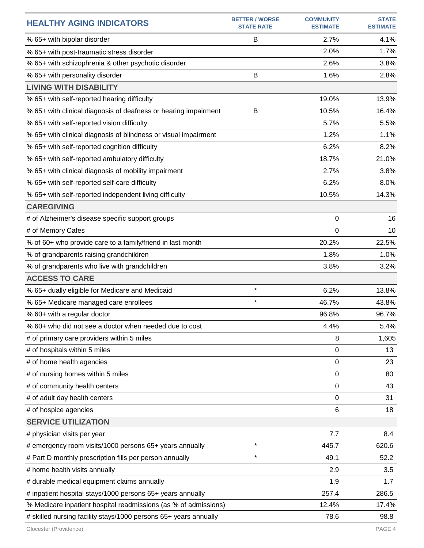| <b>HEALTHY AGING INDICATORS</b>                                  | <b>BETTER / WORSE</b><br><b>STATE RATE</b> | <b>COMMUNITY</b><br><b>ESTIMATE</b> | <b>STATE</b><br><b>ESTIMATE</b> |
|------------------------------------------------------------------|--------------------------------------------|-------------------------------------|---------------------------------|
| % 65+ with bipolar disorder                                      | B                                          | 2.7%                                | 4.1%                            |
| % 65+ with post-traumatic stress disorder                        |                                            | 2.0%                                | 1.7%                            |
| % 65+ with schizophrenia & other psychotic disorder              |                                            | 2.6%                                | 3.8%                            |
| % 65+ with personality disorder                                  | B                                          | 1.6%                                | 2.8%                            |
| <b>LIVING WITH DISABILITY</b>                                    |                                            |                                     |                                 |
| % 65+ with self-reported hearing difficulty                      |                                            | 19.0%                               | 13.9%                           |
| % 65+ with clinical diagnosis of deafness or hearing impairment  | B                                          | 10.5%                               | 16.4%                           |
| % 65+ with self-reported vision difficulty                       |                                            | 5.7%                                | 5.5%                            |
| % 65+ with clinical diagnosis of blindness or visual impairment  |                                            | 1.2%                                | 1.1%                            |
| % 65+ with self-reported cognition difficulty                    |                                            | 6.2%                                | 8.2%                            |
| % 65+ with self-reported ambulatory difficulty                   |                                            | 18.7%                               | 21.0%                           |
| % 65+ with clinical diagnosis of mobility impairment             |                                            | 2.7%                                | 3.8%                            |
| % 65+ with self-reported self-care difficulty                    |                                            | 6.2%                                | 8.0%                            |
| % 65+ with self-reported independent living difficulty           |                                            | 10.5%                               | 14.3%                           |
| <b>CAREGIVING</b>                                                |                                            |                                     |                                 |
| # of Alzheimer's disease specific support groups                 |                                            | 0                                   | 16                              |
| # of Memory Cafes                                                |                                            | 0                                   | 10                              |
| % of 60+ who provide care to a family/friend in last month       |                                            | 20.2%                               | 22.5%                           |
| % of grandparents raising grandchildren                          |                                            | 1.8%                                | 1.0%                            |
| % of grandparents who live with grandchildren                    |                                            | 3.8%                                | 3.2%                            |
| <b>ACCESS TO CARE</b>                                            |                                            |                                     |                                 |
| % 65+ dually eligible for Medicare and Medicaid                  | $\star$                                    | 6.2%                                | 13.8%                           |
| % 65+ Medicare managed care enrollees                            | $\star$                                    | 46.7%                               | 43.8%                           |
| % 60+ with a regular doctor                                      |                                            | 96.8%                               | 96.7%                           |
| % 60+ who did not see a doctor when needed due to cost           |                                            | 4.4%                                | 5.4%                            |
| # of primary care providers within 5 miles                       |                                            | 8                                   | 1,605                           |
| # of hospitals within 5 miles                                    |                                            | 0                                   | 13                              |
| # of home health agencies                                        |                                            | 0                                   | 23                              |
| # of nursing homes within 5 miles                                |                                            | 0                                   | 80                              |
| # of community health centers                                    |                                            | 0                                   | 43                              |
| # of adult day health centers                                    |                                            | 0                                   | 31                              |
| # of hospice agencies                                            |                                            | 6                                   | 18                              |
| <b>SERVICE UTILIZATION</b>                                       |                                            |                                     |                                 |
| # physician visits per year                                      |                                            | 7.7                                 | 8.4                             |
| # emergency room visits/1000 persons 65+ years annually          | $\star$                                    | 445.7                               | 620.6                           |
| # Part D monthly prescription fills per person annually          | $\star$                                    | 49.1                                | 52.2                            |
| # home health visits annually                                    |                                            | 2.9                                 | 3.5                             |
| # durable medical equipment claims annually                      |                                            | 1.9                                 | 1.7                             |
| # inpatient hospital stays/1000 persons 65+ years annually       |                                            | 257.4                               | 286.5                           |
| % Medicare inpatient hospital readmissions (as % of admissions)  |                                            | 12.4%                               | 17.4%                           |
| # skilled nursing facility stays/1000 persons 65+ years annually |                                            | 78.6                                | 98.8                            |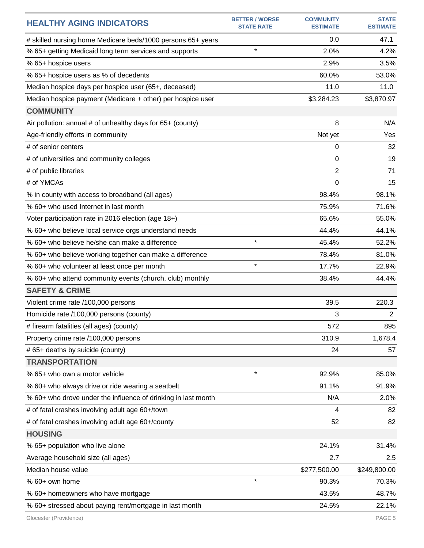| <b>HEALTHY AGING INDICATORS</b>                               | <b>BETTER / WORSE</b><br><b>STATE RATE</b> | <b>COMMUNITY</b><br><b>ESTIMATE</b> | <b>STATE</b><br><b>ESTIMATE</b> |
|---------------------------------------------------------------|--------------------------------------------|-------------------------------------|---------------------------------|
| # skilled nursing home Medicare beds/1000 persons 65+ years   |                                            | 0.0                                 | 47.1                            |
| % 65+ getting Medicaid long term services and supports        | $\star$                                    | 2.0%                                | 4.2%                            |
| % 65+ hospice users                                           |                                            | 2.9%                                | 3.5%                            |
| % 65+ hospice users as % of decedents                         |                                            | 60.0%                               | 53.0%                           |
| Median hospice days per hospice user (65+, deceased)          |                                            | 11.0                                | 11.0                            |
| Median hospice payment (Medicare + other) per hospice user    |                                            | \$3,284.23                          | \$3,870.97                      |
| <b>COMMUNITY</b>                                              |                                            |                                     |                                 |
| Air pollution: annual # of unhealthy days for 65+ (county)    |                                            | 8                                   | N/A                             |
| Age-friendly efforts in community                             |                                            | Not yet                             | Yes                             |
| # of senior centers                                           |                                            | 0                                   | 32                              |
| # of universities and community colleges                      |                                            | 0                                   | 19                              |
| # of public libraries                                         |                                            | 2                                   | 71                              |
| # of YMCAs                                                    |                                            | 0                                   | 15                              |
| % in county with access to broadband (all ages)               |                                            | 98.4%                               | 98.1%                           |
| % 60+ who used Internet in last month                         |                                            | 75.9%                               | 71.6%                           |
| Voter participation rate in 2016 election (age 18+)           |                                            | 65.6%                               | 55.0%                           |
| % 60+ who believe local service orgs understand needs         |                                            | 44.4%                               | 44.1%                           |
| % 60+ who believe he/she can make a difference                | $\star$                                    | 45.4%                               | 52.2%                           |
| % 60+ who believe working together can make a difference      |                                            | 78.4%                               | 81.0%                           |
| % 60+ who volunteer at least once per month                   | $\star$                                    | 17.7%                               | 22.9%                           |
| % 60+ who attend community events (church, club) monthly      |                                            | 38.4%                               | 44.4%                           |
| <b>SAFETY &amp; CRIME</b>                                     |                                            |                                     |                                 |
| Violent crime rate /100,000 persons                           |                                            | 39.5                                | 220.3                           |
| Homicide rate /100,000 persons (county)                       |                                            | 3                                   | 2                               |
| # firearm fatalities (all ages) (county)                      |                                            | 572                                 | 895                             |
| Property crime rate /100,000 persons                          |                                            | 310.9                               | 1,678.4                         |
| # 65+ deaths by suicide (county)                              |                                            | 24                                  | 57                              |
| <b>TRANSPORTATION</b>                                         |                                            |                                     |                                 |
| % 65+ who own a motor vehicle                                 | $\star$                                    | 92.9%                               | 85.0%                           |
| % 60+ who always drive or ride wearing a seatbelt             |                                            | 91.1%                               | 91.9%                           |
| % 60+ who drove under the influence of drinking in last month |                                            | N/A                                 | 2.0%                            |
| # of fatal crashes involving adult age 60+/town               |                                            | 4                                   | 82                              |
| # of fatal crashes involving adult age 60+/county             |                                            | 52                                  | 82                              |
| <b>HOUSING</b>                                                |                                            |                                     |                                 |
| % 65+ population who live alone                               |                                            | 24.1%                               | 31.4%                           |
| Average household size (all ages)                             |                                            | 2.7                                 | 2.5                             |
| Median house value                                            |                                            | \$277,500.00                        | \$249,800.00                    |
| % 60+ own home                                                | $\star$                                    | 90.3%                               | 70.3%                           |
| % 60+ homeowners who have mortgage                            |                                            | 43.5%                               | 48.7%                           |
| % 60+ stressed about paying rent/mortgage in last month       |                                            | 24.5%                               | 22.1%                           |
|                                                               |                                            |                                     |                                 |